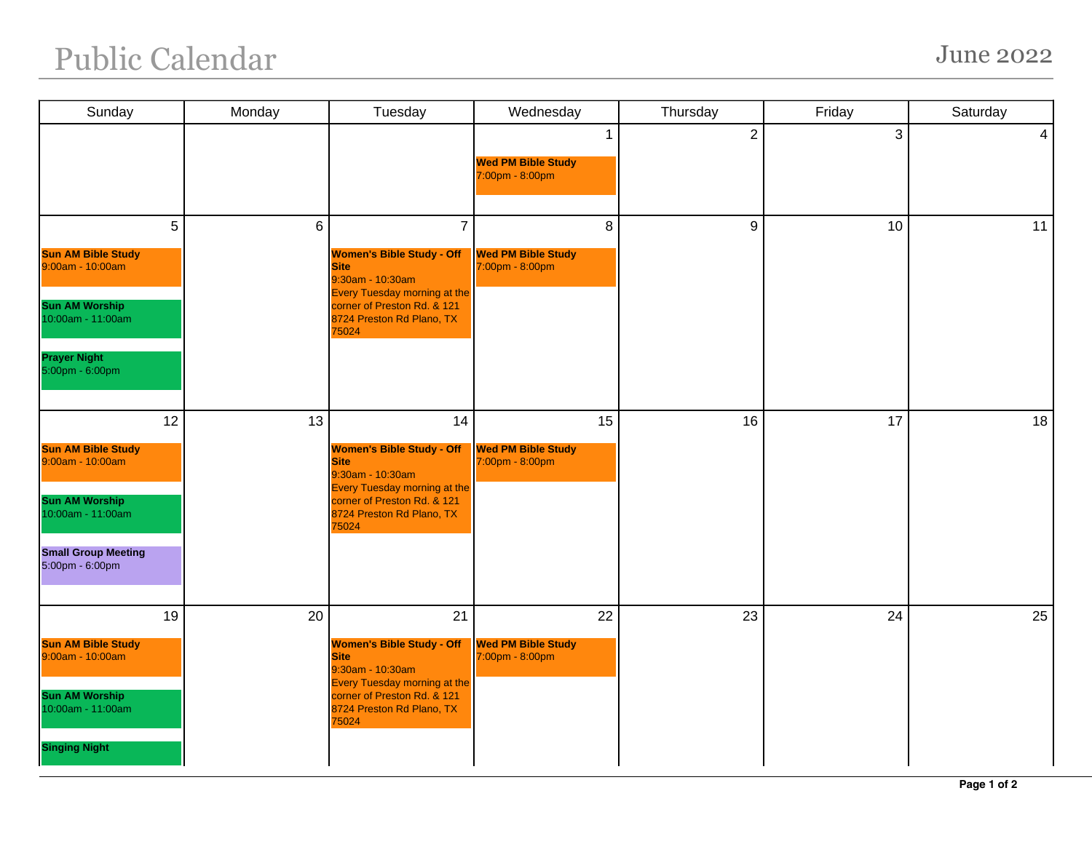## Public Calendar June 2022

| Sunday                                                                                                                                             | Monday | Tuesday                                                                                                                                                                                           | Wednesday                                          | Thursday       | Friday | Saturday        |
|----------------------------------------------------------------------------------------------------------------------------------------------------|--------|---------------------------------------------------------------------------------------------------------------------------------------------------------------------------------------------------|----------------------------------------------------|----------------|--------|-----------------|
|                                                                                                                                                    |        |                                                                                                                                                                                                   | 1<br><b>Wed PM Bible Study</b><br>7:00pm - 8:00pm  | $\overline{2}$ | 3      | $\vert 4 \vert$ |
| 5<br><b>Sun AM Bible Study</b><br>9:00am - 10:00am<br><b>Sun AM Worship</b><br>10:00am - 11:00am<br><b>Prayer Night</b><br>5:00pm - 6:00pm         | 6      | $\overline{7}$<br><b>Women's Bible Study - Off</b><br><b>Site</b><br>9:30am - 10:30am<br><b>Every Tuesday morning at the</b><br>corner of Preston Rd. & 121<br>8724 Preston Rd Plano, TX<br>75024 | 8<br><b>Wed PM Bible Study</b><br>7:00pm - 8:00pm  | 9              | 10     | 11              |
| 12<br><b>Sun AM Bible Study</b><br>9:00am - 10:00am<br><b>Sun AM Worship</b><br>10:00am - 11:00am<br><b>Small Group Meeting</b><br>5:00pm - 6:00pm | 13     | 14<br><b>Women's Bible Study - Off</b><br><b>Site</b><br>9:30am - 10:30am<br><b>Every Tuesday morning at the</b><br>corner of Preston Rd. & 121<br>8724 Preston Rd Plano, TX<br>75024             | 15<br><b>Wed PM Bible Study</b><br>7:00pm - 8:00pm | 16             | 17     | 18              |
| 19<br><b>Sun AM Bible Study</b><br>9:00am - 10:00am<br><b>Sun AM Worship</b><br>10:00am - 11:00am<br><b>Singing Night</b>                          | 20     | 21<br><b>Women's Bible Study - Off</b><br><b>Site</b><br>9:30am - 10:30am<br><b>Every Tuesday morning at the</b><br>corner of Preston Rd. & 121<br>8724 Preston Rd Plano, TX<br>75024             | 22<br><b>Wed PM Bible Study</b><br>7:00pm - 8:00pm | 23             | 24     | 25              |